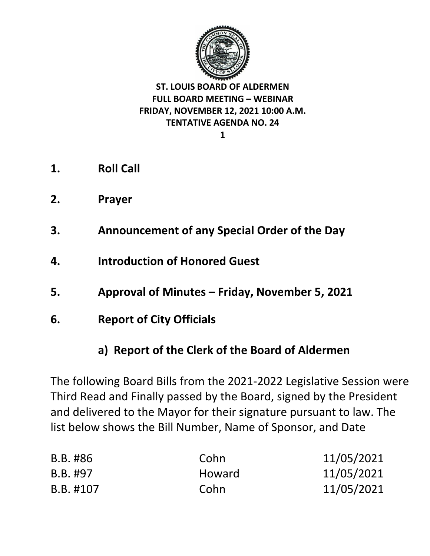

**1**

- **1. Roll Call**
- **2. Prayer**
- **3. Announcement of any Special Order of the Day**
- **4. Introduction of Honored Guest**
- **5. Approval of Minutes – Friday, November 5, 2021**
- **6. Report of City Officials**

## **a) Report of the Clerk of the Board of Aldermen**

The following Board Bills from the 2021-2022 Legislative Session were Third Read and Finally passed by the Board, signed by the President and delivered to the Mayor for their signature pursuant to law. The list below shows the Bill Number, Name of Sponsor, and Date

| B.B. #86  | Cohn   | 11/05/2021 |
|-----------|--------|------------|
| B.B. #97  | Howard | 11/05/2021 |
| B.B. #107 | Cohn   | 11/05/2021 |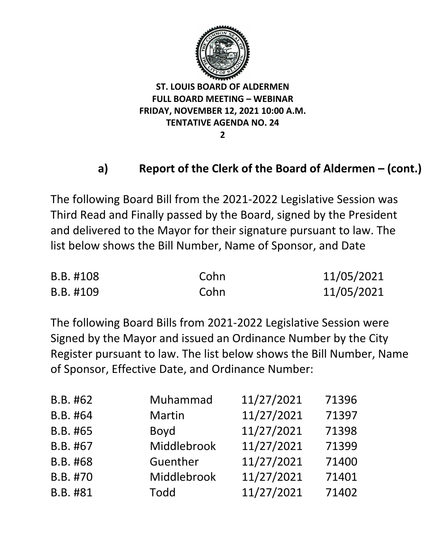

**2**

# **a) Report of the Clerk of the Board of Aldermen – (cont.)**

The following Board Bill from the 2021-2022 Legislative Session was Third Read and Finally passed by the Board, signed by the President and delivered to the Mayor for their signature pursuant to law. The list below shows the Bill Number, Name of Sponsor, and Date

| B.B. #108 | Cohn | 11/05/2021 |
|-----------|------|------------|
| B.B. #109 | Cohn | 11/05/2021 |

The following Board Bills from 2021-2022 Legislative Session were Signed by the Mayor and issued an Ordinance Number by the City Register pursuant to law. The list below shows the Bill Number, Name of Sponsor, Effective Date, and Ordinance Number:

| B.B. #62 | Muhammad    | 11/27/2021 | 71396 |
|----------|-------------|------------|-------|
| B.B. #64 | Martin      | 11/27/2021 | 71397 |
| B.B. #65 | <b>Boyd</b> | 11/27/2021 | 71398 |
| B.B. #67 | Middlebrook | 11/27/2021 | 71399 |
| B.B. #68 | Guenther    | 11/27/2021 | 71400 |
| B.B. #70 | Middlebrook | 11/27/2021 | 71401 |
| B.B. #81 | <b>Todd</b> | 11/27/2021 | 71402 |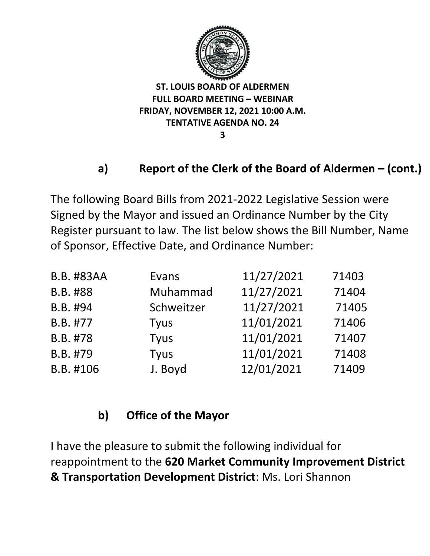

**3**

# **a) Report of the Clerk of the Board of Aldermen – (cont.)**

The following Board Bills from 2021-2022 Legislative Session were Signed by the Mayor and issued an Ordinance Number by the City Register pursuant to law. The list below shows the Bill Number, Name of Sponsor, Effective Date, and Ordinance Number:

| <b>B.B. #83AA</b> | Evans       | 11/27/2021 | 71403 |
|-------------------|-------------|------------|-------|
| B.B. #88          | Muhammad    | 11/27/2021 | 71404 |
| B.B. #94          | Schweitzer  | 11/27/2021 | 71405 |
| B.B. #77          | <b>Tyus</b> | 11/01/2021 | 71406 |
| B.B. #78          | <b>Tyus</b> | 11/01/2021 | 71407 |
| B.B. #79          | <b>Tyus</b> | 11/01/2021 | 71408 |
| B.B. #106         | J. Boyd     | 12/01/2021 | 71409 |

# **b) Office of the Mayor**

I have the pleasure to submit the following individual for reappointment to the **620 Market Community Improvement District & Transportation Development District**: Ms. Lori Shannon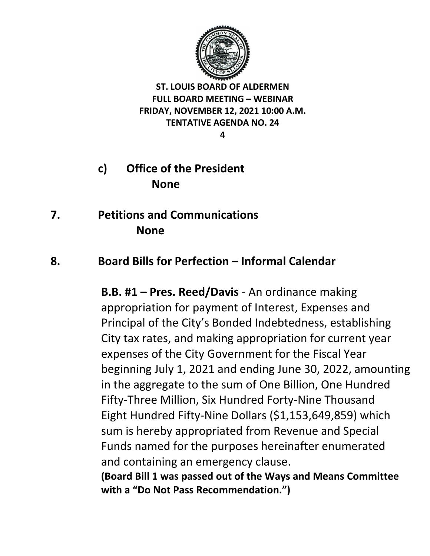

**4**

- **c) Office of the President None**
- **7. Petitions and Communications None**

# **8. Board Bills for Perfection – Informal Calendar**

**B.B. #1 – Pres. Reed/Davis** - An ordinance making appropriation for payment of Interest, Expenses and Principal of the City's Bonded Indebtedness, establishing City tax rates, and making appropriation for current year expenses of the City Government for the Fiscal Year beginning July 1, 2021 and ending June 30, 2022, amounting in the aggregate to the sum of One Billion, One Hundred Fifty-Three Million, Six Hundred Forty-Nine Thousand Eight Hundred Fifty-Nine Dollars (\$1,153,649,859) which sum is hereby appropriated from Revenue and Special Funds named for the purposes hereinafter enumerated and containing an emergency clause. **(Board Bill 1 was passed out of the Ways and Means Committee** 

**with a "Do Not Pass Recommendation.")**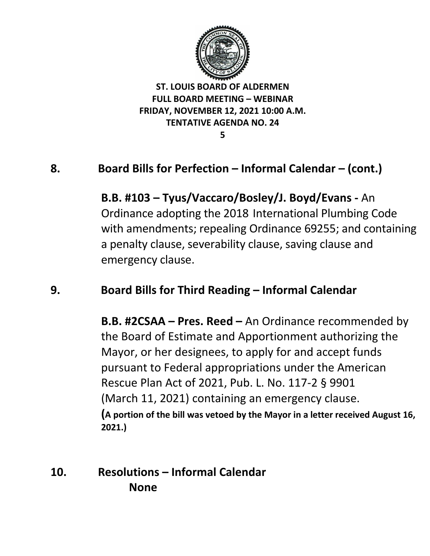

**5**

# **8. Board Bills for Perfection – Informal Calendar – (cont.)**

**B.B. #103 – Tyus/Vaccaro/Bosley/J. Boyd/Evans -** An Ordinance adopting the 2018 International Plumbing Code with amendments; repealing Ordinance 69255; and containing a penalty clause, severability clause, saving clause and emergency clause.

### **9. Board Bills for Third Reading – Informal Calendar**

**B.B. #2CSAA – Pres. Reed –** An Ordinance recommended by the Board of Estimate and Apportionment authorizing the Mayor, or her designees, to apply for and accept funds pursuant to Federal appropriations under the American Rescue Plan Act of 2021, Pub. L. No. 117-2 § 9901 (March 11, 2021) containing an emergency clause. **(A portion of the bill was vetoed by the Mayor in a letter received August 16, 2021.)**

# **10. Resolutions – Informal Calendar None**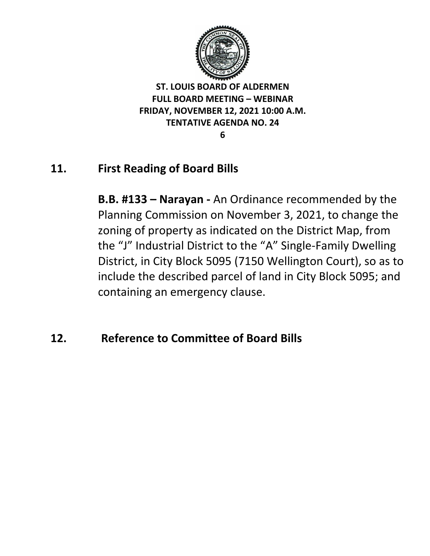

**6**

# **11. First Reading of Board Bills**

**B.B. #133 – Narayan -** An Ordinance recommended by the Planning Commission on November 3, 2021, to change the zoning of property as indicated on the District Map, from the "J" Industrial District to the "A" Single-Family Dwelling District, in City Block 5095 (7150 Wellington Court), so as to include the described parcel of land in City Block 5095; and containing an emergency clause.

## **12. Reference to Committee of Board Bills**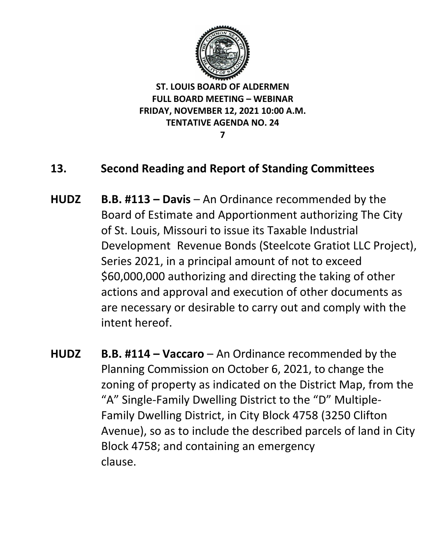

**7**

# **13. Second Reading and Report of Standing Committees**

- **HUDZ B.B. #113 – Davis** An Ordinance recommended by the Board of Estimate and Apportionment authorizing The City of St. Louis, Missouri to issue its Taxable Industrial Development Revenue Bonds (Steelcote Gratiot LLC Project), Series 2021, in a principal amount of not to exceed \$60,000,000 authorizing and directing the taking of other actions and approval and execution of other documents as are necessary or desirable to carry out and comply with the intent hereof.
- **HUDZ B.B. #114 – Vaccaro** An Ordinance recommended by the Planning Commission on October 6, 2021, to change the zoning of property as indicated on the District Map, from the "A" Single-Family Dwelling District to the "D" Multiple-Family Dwelling District, in City Block 4758 (3250 Clifton Avenue), so as to include the described parcels of land in City Block 4758; and containing an emergency clause.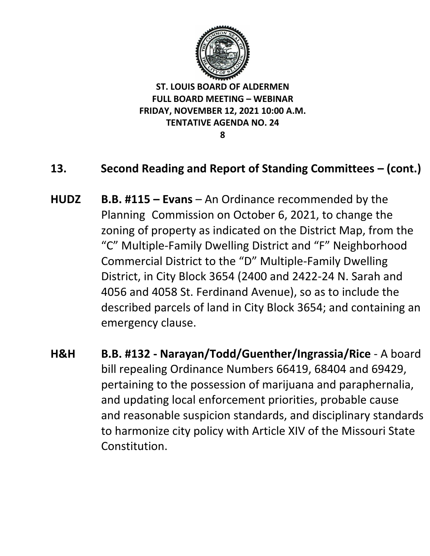

**8**

## **13. Second Reading and Report of Standing Committees – (cont.)**

- **HUDZ B.B. #115 – Evans** An Ordinance recommended by the Planning Commission on October 6, 2021, to change the zoning of property as indicated on the District Map, from the "C" Multiple-Family Dwelling District and "F" Neighborhood Commercial District to the "D" Multiple-Family Dwelling District, in City Block 3654 (2400 and 2422-24 N. Sarah and 4056 and 4058 St. Ferdinand Avenue), so as to include the described parcels of land in City Block 3654; and containing an emergency clause.
- **H&H B.B. #132 - Narayan/Todd/Guenther/Ingrassia/Rice** A board bill repealing Ordinance Numbers 66419, 68404 and 69429, pertaining to the possession of marijuana and paraphernalia, and updating local enforcement priorities, probable cause and reasonable suspicion standards, and disciplinary standards to harmonize city policy with Article XIV of the Missouri State Constitution.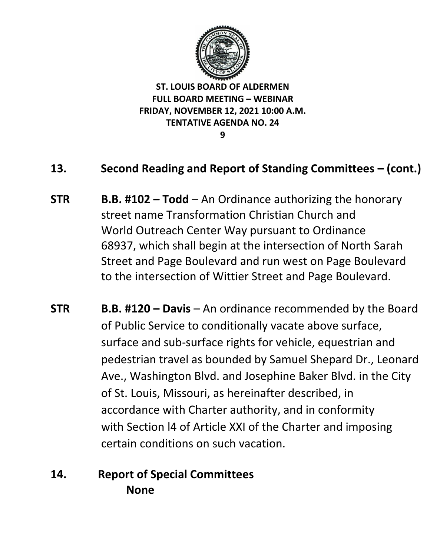

#### **9**

## **13. Second Reading and Report of Standing Committees – (cont.)**

- **STR B.B. #102 Todd** An Ordinance authorizing the honorary street name Transformation Christian Church and World Outreach Center Way pursuant to Ordinance 68937, which shall begin at the intersection of North Sarah Street and Page Boulevard and run west on Page Boulevard to the intersection of Wittier Street and Page Boulevard.
- **STR B.B. #120 – Davis** An ordinance recommended by the Board of Public Service to conditionally vacate above surface, surface and sub-surface rights for vehicle, equestrian and pedestrian travel as bounded by Samuel Shepard Dr., Leonard Ave., Washington Blvd. and Josephine Baker Blvd. in the City of St. Louis, Missouri, as hereinafter described, in accordance with Charter authority, and in conformity with Section l4 of Article XXI of the Charter and imposing certain conditions on such vacation.
- **14. Report of Special Committees None**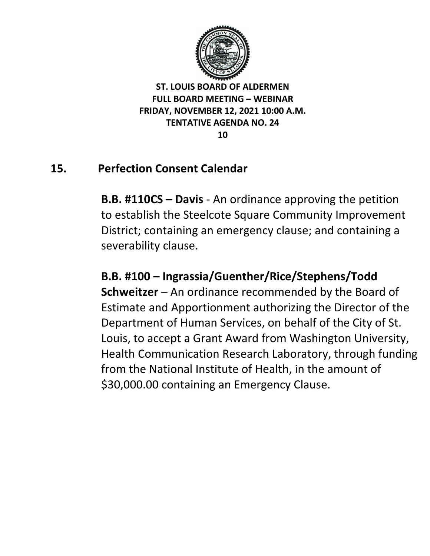

## **15. Perfection Consent Calendar**

**B.B. #110CS – Davis** - An ordinance approving the petition to establish the Steelcote Square Community Improvement District; containing an emergency clause; and containing a severability clause.

**B.B. #100 – Ingrassia/Guenther/Rice/Stephens/Todd Schweitzer** – An ordinance recommended by the Board of Estimate and Apportionment authorizing the Director of the Department of Human Services, on behalf of the City of St. Louis, to accept a Grant Award from Washington University, Health Communication Research Laboratory, through funding from the National Institute of Health, in the amount of \$30,000.00 containing an Emergency Clause.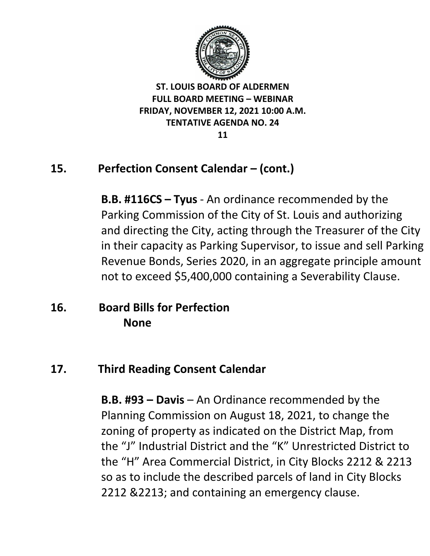

# **15. Perfection Consent Calendar – (cont.)**

**B.B. #116CS – Tyus** - An ordinance recommended by the Parking Commission of the City of St. Louis and authorizing and directing the City, acting through the Treasurer of the City in their capacity as Parking Supervisor, to issue and sell Parking Revenue Bonds, Series 2020, in an aggregate principle amount not to exceed \$5,400,000 containing a Severability Clause.

# **16. Board Bills for Perfection None**

## **17. Third Reading Consent Calendar**

**B.B. #93 – Davis** – An Ordinance recommended by the Planning Commission on August 18, 2021, to change the zoning of property as indicated on the District Map, from the "J" Industrial District and the "K" Unrestricted District to the "H" Area Commercial District, in City Blocks 2212 & 2213 so as to include the described parcels of land in City Blocks 2212 &2213; and containing an emergency clause.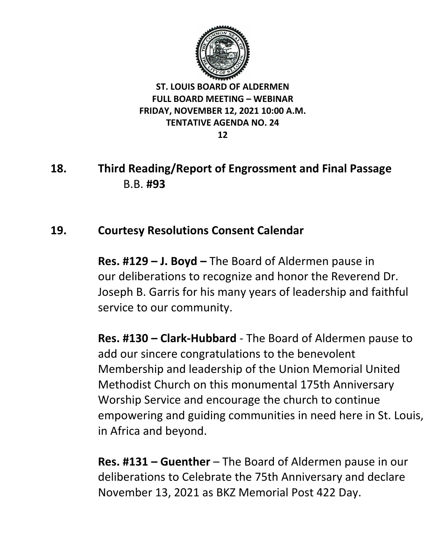

## **18. Third Reading/Report of Engrossment and Final Passage** B.B. **#93**

## **19. Courtesy Resolutions Consent Calendar**

**Res. #129 – J. Boyd –** The Board of Aldermen pause in our deliberations to recognize and honor the Reverend Dr. Joseph B. Garris for his many years of leadership and faithful service to our community.

**Res. #130 – Clark-Hubbard** - The Board of Aldermen pause to add our sincere congratulations to the benevolent Membership and leadership of the Union Memorial United Methodist Church on this monumental 175th Anniversary Worship Service and encourage the church to continue empowering and guiding communities in need here in St. Louis, in Africa and beyond.

**Res. #131 – Guenther** – The Board of Aldermen pause in our deliberations to Celebrate the 75th Anniversary and declare November 13, 2021 as BKZ Memorial Post 422 Day.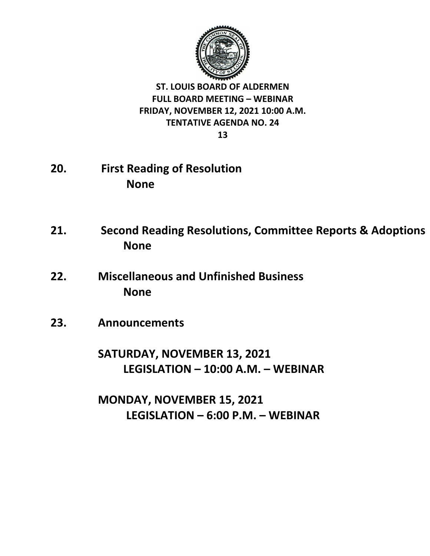

**13**

- **20. First Reading of Resolution None**
- **21. Second Reading Resolutions, Committee Reports & Adoptions None**
- **22. Miscellaneous and Unfinished Business None**
- **23. Announcements**

**SATURDAY, NOVEMBER 13, 2021 LEGISLATION – 10:00 A.M. – WEBINAR** 

**MONDAY, NOVEMBER 15, 2021 LEGISLATION – 6:00 P.M. – WEBINAR**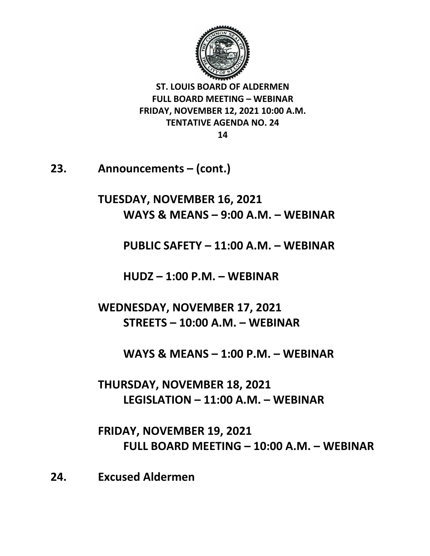

**14**

**23. Announcements – (cont.)**

**TUESDAY, NOVEMBER 16, 2021 WAYS & MEANS – 9:00 A.M. – WEBINAR** 

**PUBLIC SAFETY – 11:00 A.M. – WEBINAR**

**HUDZ – 1:00 P.M. – WEBINAR**

**WEDNESDAY, NOVEMBER 17, 2021 STREETS – 10:00 A.M. – WEBINAR** 

**WAYS & MEANS – 1:00 P.M. – WEBINAR** 

**THURSDAY, NOVEMBER 18, 2021 LEGISLATION – 11:00 A.M. – WEBINAR**

**FRIDAY, NOVEMBER 19, 2021 FULL BOARD MEETING – 10:00 A.M. – WEBINAR**

**24. Excused Aldermen**